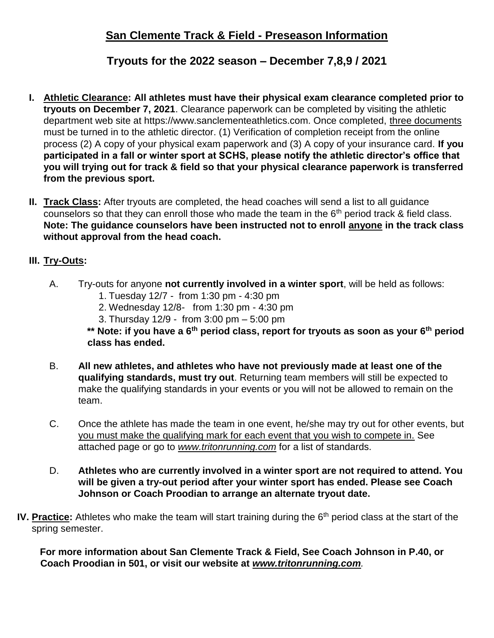# **Tryouts for the 2022 season – December 7,8,9 / 2021**

- **I. Athletic Clearance: All athletes must have their physical exam clearance completed prior to tryouts on December 7, 2021**. Clearance paperwork can be completed by visiting the athletic department web site at https://www.sanclementeathletics.com. Once completed, three documents must be turned in to the athletic director. (1) Verification of completion receipt from the online process (2) A copy of your physical exam paperwork and (3) A copy of your insurance card. **If you participated in a fall or winter sport at SCHS, please notify the athletic director's office that you will trying out for track & field so that your physical clearance paperwork is transferred from the previous sport.**
- **II. Track Class:** After tryouts are completed, the head coaches will send a list to all guidance counselors so that they can enroll those who made the team in the  $6<sup>th</sup>$  period track & field class. **Note: The guidance counselors have been instructed not to enroll anyone in the track class without approval from the head coach.**

## **III. Try-Outs:**

- A. Try-outs for anyone **not currently involved in a winter sport**, will be held as follows:
	- 1. Tuesday 12/7 from 1:30 pm 4:30 pm
	- 2. Wednesday 12/8- from 1:30 pm 4:30 pm
	- 3. Thursday 12/9 from 3:00 pm 5:00 pm

**\*\* Note: if you have a 6th period class, report for tryouts as soon as your 6th period class has ended.**

- B. **All new athletes, and athletes who have not previously made at least one of the qualifying standards, must try out**. Returning team members will still be expected to make the qualifying standards in your events or you will not be allowed to remain on the team.
- C. Once the athlete has made the team in one event, he/she may try out for other events, but you must make the qualifying mark for each event that you wish to compete in. See attached page or go to *[www.tritonrunning.com](http://www.tritonrunning.com/)* for a list of standards.
- D. **Athletes who are currently involved in a winter sport are not required to attend. You will be given a try-out period after your winter sport has ended. Please see Coach Johnson or Coach Proodian to arrange an alternate tryout date.**
- **IV. Practice:** Athletes who make the team will start training during the 6<sup>th</sup> period class at the start of the spring semester.

**For more information about San Clemente Track & Field, See Coach Johnson in P.40, or Coach Proodian in 501, or visit our website at** *[www.tritonrunning.com](http://www.tritonrunning.com/)[.](http://www.tritonrunning.com/)*